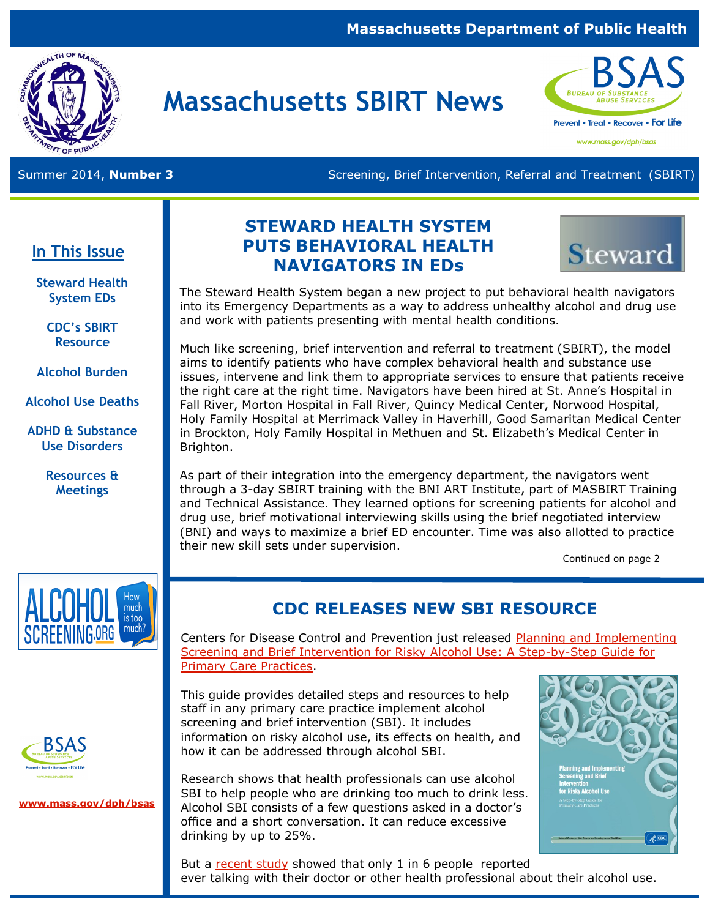#### **Massachusetts Department of Public Health**



# **Massachusetts SBIRT News**



www.mass.gov/dph/bsas

Summer 2014, **Number 3 Screening, Brief Intervention, Referral and Treatment (SBIRT)** Screening, Brief Intervention, Referral and Treatment (SBIRT)

### **In This Issue**

**Steward Health System EDs**

> **CDC's SBIRT Resource**

**Alcohol Burden** 

**Alcohol Use Deaths**

**ADHD & Substance Use Disorders**

> **Resources & Meetings**

## **STEWARD HEALTH SYSTEM PUTS BEHAVIORAL HEALTH NAVIGATORS IN EDs**



The Steward Health System began a new project to put behavioral health navigators into its Emergency Departments as a way to address unhealthy alcohol and drug use and work with patients presenting with mental health conditions.

Much like screening, brief intervention and referral to treatment (SBIRT), the model aims to identify patients who have complex behavioral health and substance use issues, intervene and link them to appropriate services to ensure that patients receive the right care at the right time. Navigators have been hired at St. Anne's Hospital in Fall River, Morton Hospital in Fall River, Quincy Medical Center, Norwood Hospital, Holy Family Hospital at Merrimack Valley in Haverhill, Good Samaritan Medical Center in Brockton, Holy Family Hospital in Methuen and St. Elizabeth's Medical Center in Brighton.

As part of their integration into the emergency department, the navigators went through a 3-day SBIRT training with the BNI ART Institute, part of MASBIRT Training and Technical Assistance. They learned options for screening patients for alcohol and drug use, brief motivational interviewing skills using the brief negotiated interview (BNI) and ways to maximize a brief ED encounter. Time was also allotted to practice their new skill sets under supervision.

Continued on page 2



## **CDC RELEASES NEW SBI RESOURCE**

Centers for Disease Control and Prevention just released [Planning and Implementing](http://www.cdc.gov/ncbddd/fasd/documents/alcoholsbiimplementationguide.pdf)  [Screening and Brief Intervention for Risky Alcohol Use: A Step-by-Step Guide for](http://www.cdc.gov/ncbddd/fasd/documents/alcoholsbiimplementationguide.pdf)  [Primary Care Practices.](http://www.cdc.gov/ncbddd/fasd/documents/alcoholsbiimplementationguide.pdf)

This guide provides detailed steps and resources to help staff in any primary care practice implement alcohol screening and brief intervention (SBI). It includes information on risky alcohol use, its effects on health, and how it can be addressed through alcohol SBI.



**[www.mass.gov/dph/bsas](http://www.mass.gov/dph/bsas)**

Research shows that [health professionals c](http://my.quantiamd.com/player/yzgcjfhfz)an use alcohol SBI to help people who are drinking too much to drink less. Alcohol SBI consists of a few questions asked in a doctor's office and a short conversation. It can reduce excessive drinking by up to 25%.



But a [recent study](http://www.cdc.gov/vitalsigns/alcohol-screening-counseling/) showed that only 1 in 6 people reported ever talking with their doctor or other health professional about their alcohol use.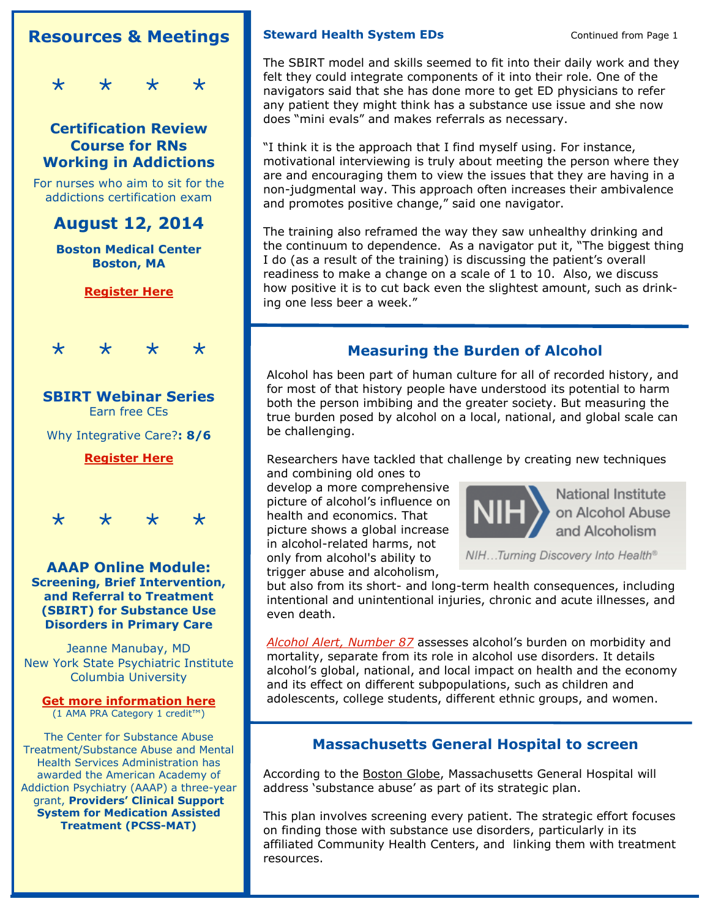## **Resources & Meetings**

 $\star$ 

#### **Certification Review Course for RNs Working in Addictions**

For nurses who aim to sit for the addictions certification exam

**August 12, 2014** 

**Boston Medical Center Boston, MA** 

#### **[Register Here](http://www.cvent.com/events/bsas-004-certification-review-course-for-rn-s-working-in-addictions/event-summary-093573962a1547f89602c638f49ebf6c.aspx)**



## **SBIRT Webinar Series**  Earn free CEs [Why Integrative Care?](http://hospitalsbirt.webs.com/whyintegrativecare.htm)**: 8/6**

**[Register Here](http://hospitalsbirt.webs.com/webinars.htm)**



**AAAP Online Module: [Screening, Brief Intervention,](http://pcssmat.org/wp-content/uploads/2014/07/Manubay-PCSSMATOnlineModule.pdf)  [and Referral to Treatment](http://pcssmat.org/wp-content/uploads/2014/07/Manubay-PCSSMATOnlineModule.pdf)  [\(SBIRT\) for Substance Use](http://pcssmat.org/wp-content/uploads/2014/07/Manubay-PCSSMATOnlineModule.pdf)  [Disorders in Primary Care](http://pcssmat.org/wp-content/uploads/2014/07/Manubay-PCSSMATOnlineModule.pdf)** 

Jeanne Manubay, MD New York State Psychiatric Institute Columbia University

## **[Get more information here](http://pcssmat.org/education-training/modules/aaap-online-module-screening-brief-intervention-and-referral-to-treatment-sbirt-for-substance-use-disorders-in-primary-care-online-module)**

(1 AMA PRA Category 1 credit™)

The Center for Substance Abuse Treatment/Substance Abuse and Mental Health Services Administration has awarded the American Academy of Addiction Psychiatry (AAAP) a three-year grant, **Providers' Clinical Support System for Medication Assisted Treatment (PCSS-MAT)**

#### **Steward Health System EDs Continued from Page 1**

The SBIRT model and skills seemed to fit into their daily work and they felt they could integrate components of it into their role. One of the navigators said that she has done more to get ED physicians to refer any patient they might think has a substance use issue and she now does "mini evals" and makes referrals as necessary.

"I think it is the approach that I find myself using. For instance, motivational interviewing is truly about meeting the person where they are and encouraging them to view the issues that they are having in a non-judgmental way. This approach often increases their ambivalence and promotes positive change," said one navigator.

The training also reframed the way they saw unhealthy drinking and the continuum to dependence. As a navigator put it, "The biggest thing I do (as a result of the training) is discussing the patient's overall readiness to make a change on a scale of 1 to 10. Also, we discuss how positive it is to cut back even the slightest amount, such as drinking one less beer a week."

### **Measuring the Burden of Alcohol**

Alcohol has been part of human culture for all of recorded history, and for most of that history people have understood its potential to harm both the person imbibing and the greater society. But measuring the true burden posed by alcohol on a local, national, and global scale can be challenging.

Researchers have tackled that challenge by creating new techniques and combining old ones to

develop a more comprehensive picture of alcohol's influence on health and economics. That picture shows a global increase in alcohol-related harms, not only from alcohol's ability to trigger abuse and alcoholism,



NIH...Turning Discovery Into Health®

but also from its short- and long-term health consequences, including intentional and unintentional injuries, chronic and acute illnesses, and even death.

*[Alcohol Alert, Number 87](http://pubs.niaaa.nih.gov/publications/aa87/aa87.htm)* assesses alcohol's burden on morbidity and mortality, separate from its role in alcohol use disorders. It details alcohol's global, national, and local impact on health and the economy and its effect on different subpopulations, such as children and adolescents, college students, different ethnic groups, and women.

#### **Massachusetts General Hospital to screen**

According to the [Boston Globe,](http://www.bostonglobe.com/lifestyle/health-wellness/2014/06/29/mass-general-hospital-plans-screen-all-patients-for-alcohol-and-illegal-drug-use/RmDqYAUpFuQql1e1LLicKI/story.html) Massachusetts General Hospital will address 'substance abuse' as part of its strategic plan.

This plan involves screening every patient. The strategic effort focuses on finding those with substance use disorders, particularly in its affiliated Community Health Centers, and linking them with treatment resources.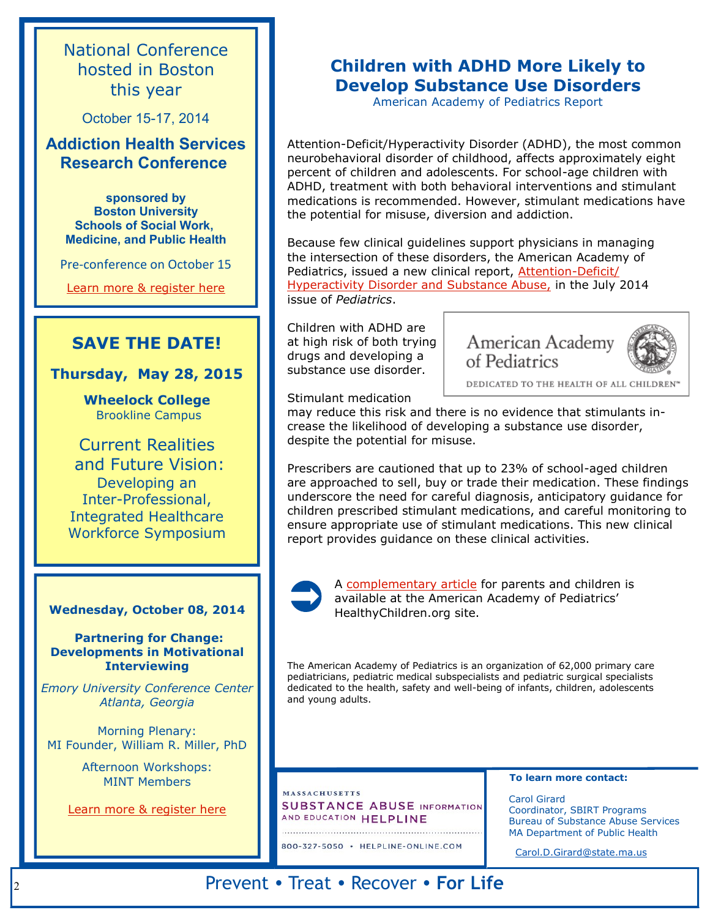National Conference hosted in Boston this year

October 15-17, 2014

#### **Addiction Health Services Research Conference**

**sponsored by Boston University Schools of Social Work, Medicine, and Public Health**

Pre-conference on October 15

[Learn more & register here](http://sites.bu.edu/ahsr2014/)

### **SAVE THE DATE!**

**Thursday, May 28, 2015**

**Wheelock College** Brookline Campus

Current Realities and Future Vision: Developing an Inter-Professional, Integrated Healthcare Workforce Symposium

#### **Wednesday, October 08, 2014** HealthyChildren.org site.

**Partnering for Change: Developments in Motivational Interviewing**

*Emory University Conference Center Atlanta, Georgia*

Morning Plenary: MI Founder, William R. Miller, PhD

> Afternoon Workshops: MINT Members

[Learn more & register here](https://www.regonline.com/builder/site/Default.aspx?EventID=1573851)

## **Children with ADHD More Likely to Develop Substance Use Disorders**

American Academy of Pediatrics Report

Attention-Deficit/Hyperactivity Disorder (ADHD), the most common neurobehavioral disorder of childhood, affects approximately eight percent of children and adolescents. For school-age children with ADHD, treatment with both behavioral interventions and stimulant medications is recommended. However, stimulant medications have the potential for misuse, diversion and addiction.

Because few clinical guidelines support physicians in managing the intersection of these disorders, the American Academy of Pediatrics, issued a new clinical report, [Attention-Deficit/](http://pediatrics.aappublications.org/cgi/doi/10.1542/peds.2014-0992) [Hyperactivity Disorder and Substance Abuse,](http://pediatrics.aappublications.org/cgi/doi/10.1542/peds.2014-0992) in the July 2014 issue of *Pediatrics*.

Children with ADHD are at high risk of both trying drugs and developing a substance use disorder.



DEDICATED TO THE HEALTH OF ALL CHILDREY

Stimulant medication

may reduce this risk and there is no evidence that stimulants increase the likelihood of developing a substance use disorder, despite the potential for misuse.

Prescribers are cautioned that up to 23% of school-aged children are approached to sell, buy or trade their medication. These findings underscore the need for careful diagnosis, anticipatory guidance for children prescribed stimulant medications, and careful monitoring to ensure appropriate use of stimulant medications. This new clinical report provides guidance on these clinical activities.



A [complementary article](http://www.healthychildren.org/English/health-issues/conditions/adhd/Pages/ADHD-and-Substance-Abuse-The-Link-Parents-Need-to-Know.aspx) for parents and children is available at the American Academy of Pediatrics'

The American Academy of Pediatrics is an organization of 62,000 primary care pediatricians, pediatric medical subspecialists and pediatric surgical specialists dedicated to the health, safety and well-being of infants, children, adolescents and young adults.

#### **MASSACHUSETTS SUBSTANCE ABUSE INFORMATION** AND EDUCATION HELPLINE

800-327-5050 · HELPLINE-ONLINE.COM **To learn more contact:** 

Carol Girard Coordinator, SBIRT Programs Bureau of Substance Abuse Services MA Department of Public Health

[Carol.D.Girard@state.ma.us](mailto:Carol.D.Girard@state.ma.us) 

## Prevent • Treat • Recover • **For Life**